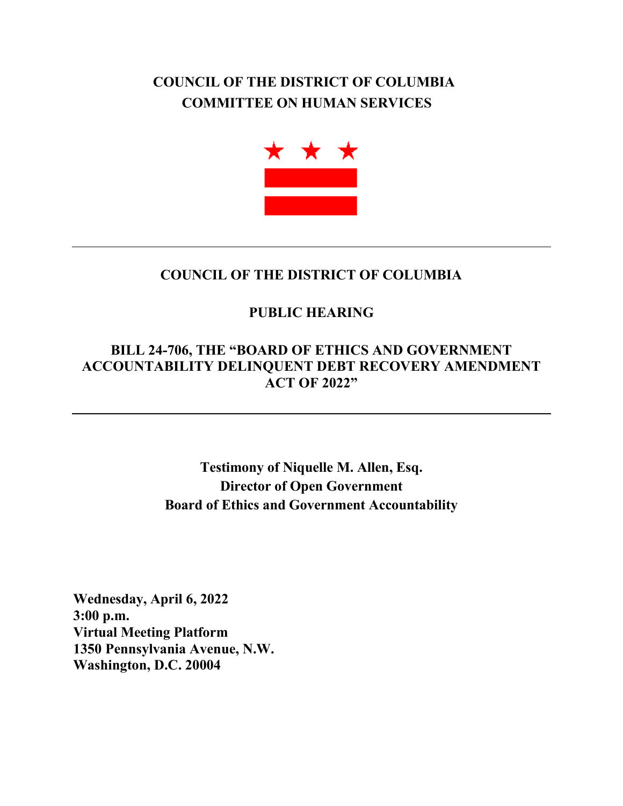## **COUNCIL OF THE DISTRICT OF COLUMBIA COMMITTEE ON HUMAN SERVICES**



## **COUNCIL OF THE DISTRICT OF COLUMBIA**

## **PUBLIC HEARING**

## **BILL 24-706, THE "BOARD OF ETHICS AND GOVERNMENT ACCOUNTABILITY DELINQUENT DEBT RECOVERY AMENDMENT ACT OF 2022"**

**Testimony of Niquelle M. Allen, Esq. Director of Open Government Board of Ethics and Government Accountability**

**Wednesday, April 6, 2022 3:00 p.m. Virtual Meeting Platform 1350 Pennsylvania Avenue, N.W. Washington, D.C. 20004**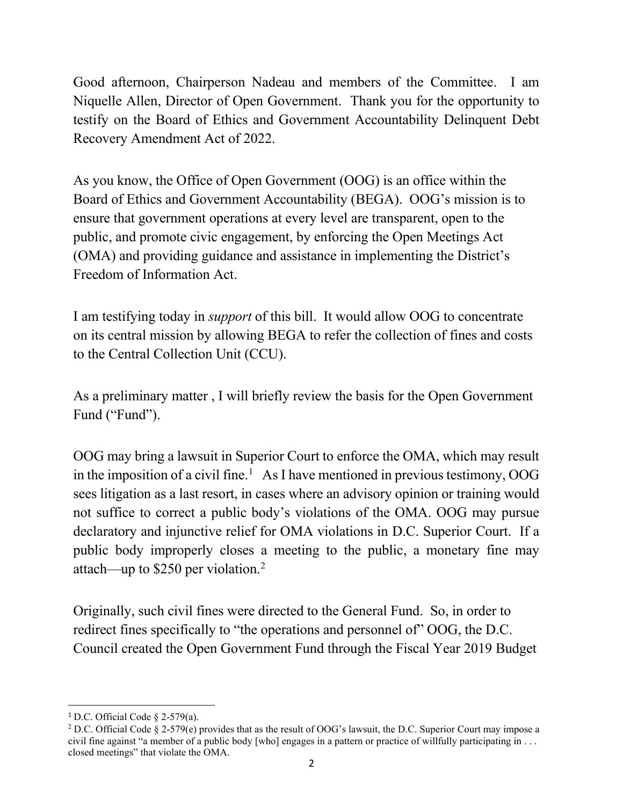Good afternoon, Chairperson Nadeau and members of the Committee. I am Niquelle Allen, Director of Open Government. Thank you for the opportunity to testify on the Board of Ethics and Government Accountability Delinquent Debt Recovery Amendment Act of 2022.

As you know, the Office of Open Government (OOG) is an office within the Board of Ethics and Government Accountability (BEGA). OOG's mission is to ensure that government operations at every level are transparent, open to the public, and promote civic engagement, by enforcing the Open Meetings Act (OMA) and providing guidance and assistance in implementing the District's Freedom of Information Act.

I am testifying today in *support* of this bill. It would allow OOG to concentrate on its central mission by allowing BEGA to refer the collection of fines and costs to the Central Collection Unit (CCU).

As a preliminary matter , I will briefly review the basis for the Open Government Fund ("Fund").

OOG may bring a lawsuit in Superior Court to enforce the OMA, which may result in the imposition of a civil fine. [1](#page-1-0) As I have mentioned in previous testimony, OOG sees litigation as a last resort, in cases where an advisory opinion or training would not suffice to correct a public body's violations of the OMA. OOG may pursue declaratory and injunctive relief for OMA violations in D.C. Superior Court. If a public body improperly closes a meeting to the public, a monetary fine may attach—up to \$250 per violation[.2](#page-1-1)

Originally, such civil fines were directed to the General Fund. So, in order to redirect fines specifically to "the operations and personnel of" OOG, the D.C. Council created the Open Government Fund through the Fiscal Year 2019 Budget

<span id="page-1-0"></span><sup>&</sup>lt;sup>1</sup> D.C. Official Code  $\S$  2-579(a).

<span id="page-1-1"></span><sup>&</sup>lt;sup>2</sup> D.C. Official Code § 2-579(e) provides that as the result of OOG's lawsuit, the D.C. Superior Court may impose a civil fine against "a member of a public body [who] engages in a pattern or practice of willfully participating in  $\dots$ closed meetings" that violate the OMA.